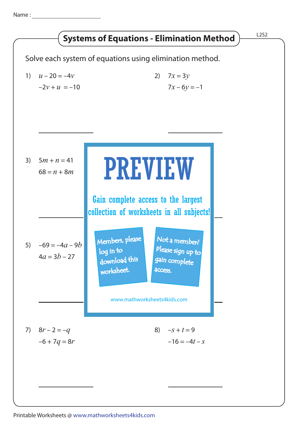